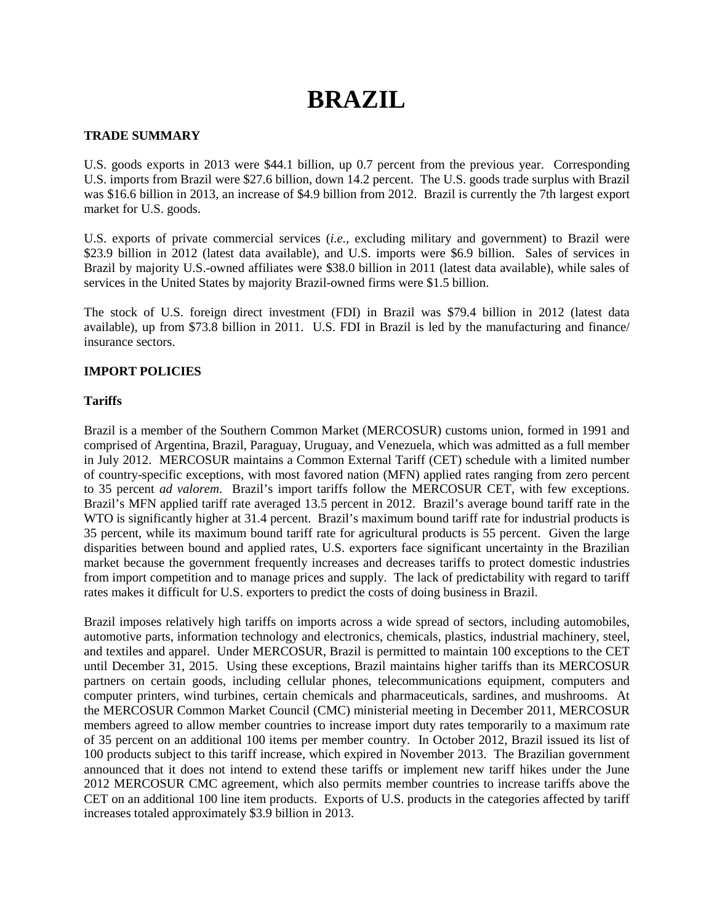# **BRAZIL**

## **TRADE SUMMARY**

U.S. goods exports in 2013 were \$44.1 billion, up 0.7 percent from the previous year. Corresponding U.S. imports from Brazil were \$27.6 billion, down 14.2 percent. The U.S. goods trade surplus with Brazil was \$16.6 billion in 2013, an increase of \$4.9 billion from 2012. Brazil is currently the 7th largest export market for U.S. goods.

U.S. exports of private commercial services (*i.e.*, excluding military and government) to Brazil were \$23.9 billion in 2012 (latest data available), and U.S. imports were \$6.9 billion. Sales of services in Brazil by majority U.S.-owned affiliates were \$38.0 billion in 2011 (latest data available), while sales of services in the United States by majority Brazil-owned firms were \$1.5 billion.

The stock of U.S. foreign direct investment (FDI) in Brazil was \$79.4 billion in 2012 (latest data available), up from \$73.8 billion in 2011. U.S. FDI in Brazil is led by the manufacturing and finance/ insurance sectors.

## **IMPORT POLICIES**

## **Tariffs**

Brazil is a member of the Southern Common Market (MERCOSUR) customs union, formed in 1991 and comprised of Argentina, Brazil, Paraguay, Uruguay, and Venezuela, which was admitted as a full member in July 2012. MERCOSUR maintains a Common External Tariff (CET) schedule with a limited number of country-specific exceptions, with most favored nation (MFN) applied rates ranging from zero percent to 35 percent *ad valorem*. Brazil's import tariffs follow the MERCOSUR CET, with few exceptions. Brazil's MFN applied tariff rate averaged 13.5 percent in 2012. Brazil's average bound tariff rate in the WTO is significantly higher at 31.4 percent. Brazil's maximum bound tariff rate for industrial products is 35 percent, while its maximum bound tariff rate for agricultural products is 55 percent. Given the large disparities between bound and applied rates, U.S. exporters face significant uncertainty in the Brazilian market because the government frequently increases and decreases tariffs to protect domestic industries from import competition and to manage prices and supply. The lack of predictability with regard to tariff rates makes it difficult for U.S. exporters to predict the costs of doing business in Brazil.

Brazil imposes relatively high tariffs on imports across a wide spread of sectors, including automobiles, automotive parts, information technology and electronics, chemicals, plastics, industrial machinery, steel, and textiles and apparel. Under MERCOSUR, Brazil is permitted to maintain 100 exceptions to the CET until December 31, 2015. Using these exceptions, Brazil maintains higher tariffs than its MERCOSUR partners on certain goods, including cellular phones, telecommunications equipment, computers and computer printers, wind turbines, certain chemicals and pharmaceuticals, sardines, and mushrooms. At the MERCOSUR Common Market Council (CMC) ministerial meeting in December 2011, MERCOSUR members agreed to allow member countries to increase import duty rates temporarily to a maximum rate of 35 percent on an additional 100 items per member country. In October 2012, Brazil issued its list of 100 products subject to this tariff increase, which expired in November 2013. The Brazilian government announced that it does not intend to extend these tariffs or implement new tariff hikes under the June 2012 MERCOSUR CMC agreement, which also permits member countries to increase tariffs above the CET on an additional 100 line item products. Exports of U.S. products in the categories affected by tariff increases totaled approximately \$3.9 billion in 2013.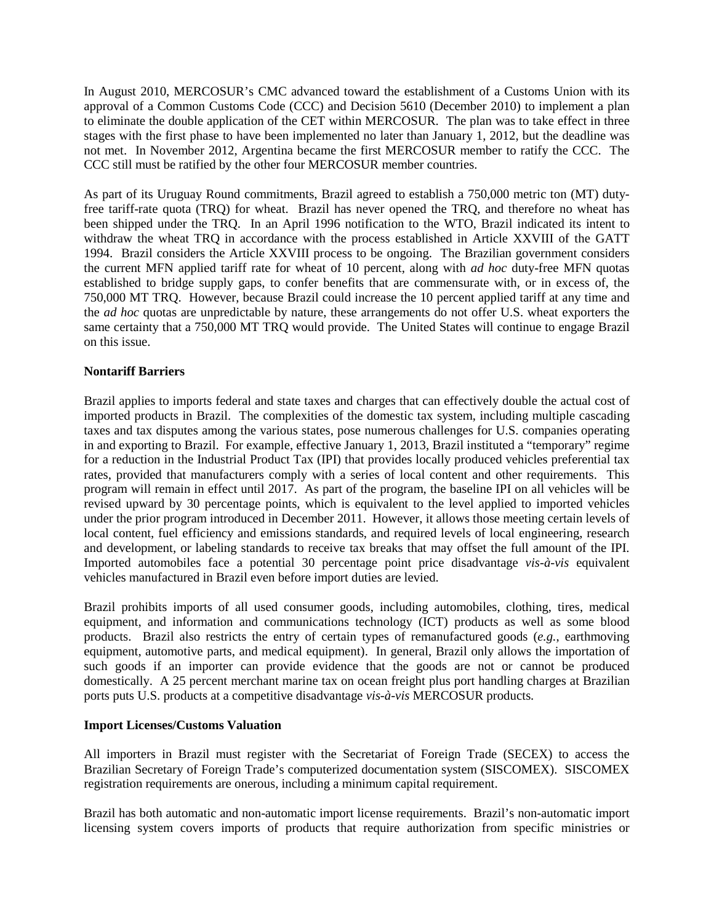In August 2010, MERCOSUR's CMC advanced toward the establishment of a Customs Union with its approval of a Common Customs Code (CCC) and Decision 5610 (December 2010) to implement a plan to eliminate the double application of the CET within MERCOSUR. The plan was to take effect in three stages with the first phase to have been implemented no later than January 1, 2012, but the deadline was not met. In November 2012, Argentina became the first MERCOSUR member to ratify the CCC. The CCC still must be ratified by the other four MERCOSUR member countries.

As part of its Uruguay Round commitments, Brazil agreed to establish a 750,000 metric ton (MT) dutyfree tariff-rate quota (TRQ) for wheat. Brazil has never opened the TRQ, and therefore no wheat has been shipped under the TRQ. In an April 1996 notification to the WTO, Brazil indicated its intent to withdraw the wheat TRQ in accordance with the process established in Article XXVIII of the GATT 1994. Brazil considers the Article XXVIII process to be ongoing. The Brazilian government considers the current MFN applied tariff rate for wheat of 10 percent, along with *ad hoc* duty-free MFN quotas established to bridge supply gaps, to confer benefits that are commensurate with, or in excess of, the 750,000 MT TRQ.However, because Brazil could increase the 10 percent applied tariff at any time and the *ad hoc* quotas are unpredictable by nature, these arrangements do not offer U.S. wheat exporters the same certainty that a 750,000 MT TRQ would provide.The United States will continue to engage Brazil on this issue.

## **Nontariff Barriers**

Brazil applies to imports federal and state taxes and charges that can effectively double the actual cost of imported products in Brazil. The complexities of the domestic tax system, including multiple cascading taxes and tax disputes among the various states, pose numerous challenges for U.S. companies operating in and exporting to Brazil. For example, effective January 1, 2013, Brazil instituted a "temporary" regime for a reduction in the Industrial Product Tax (IPI) that provides locally produced vehicles preferential tax rates, provided that manufacturers comply with a series of local content and other requirements. This program will remain in effect until 2017. As part of the program, the baseline IPI on all vehicles will be revised upward by 30 percentage points, which is equivalent to the level applied to imported vehicles under the prior program introduced in December 2011. However, it allows those meeting certain levels of local content, fuel efficiency and emissions standards, and required levels of local engineering, research and development, or labeling standards to receive tax breaks that may offset the full amount of the IPI. Imported automobiles face a potential 30 percentage point price disadvantage *vis-à-vis* equivalent vehicles manufactured in Brazil even before import duties are levied.

Brazil prohibits imports of all used consumer goods, including automobiles, clothing, tires, medical equipment, and information and communications technology (ICT) products as well as some blood products. Brazil also restricts the entry of certain types of remanufactured goods (*e.g.*, earthmoving equipment, automotive parts, and medical equipment). In general, Brazil only allows the importation of such goods if an importer can provide evidence that the goods are not or cannot be produced domestically. A 25 percent merchant marine tax on ocean freight plus port handling charges at Brazilian ports puts U.S. products at a competitive disadvantage *vis-à-vis* MERCOSUR products.

## **Import Licenses/Customs Valuation**

All importers in Brazil must register with the Secretariat of Foreign Trade (SECEX) to access the Brazilian Secretary of Foreign Trade's computerized documentation system (SISCOMEX). SISCOMEX registration requirements are onerous, including a minimum capital requirement.

Brazil has both automatic and non-automatic import license requirements. Brazil's non-automatic import licensing system covers imports of products that require authorization from specific ministries or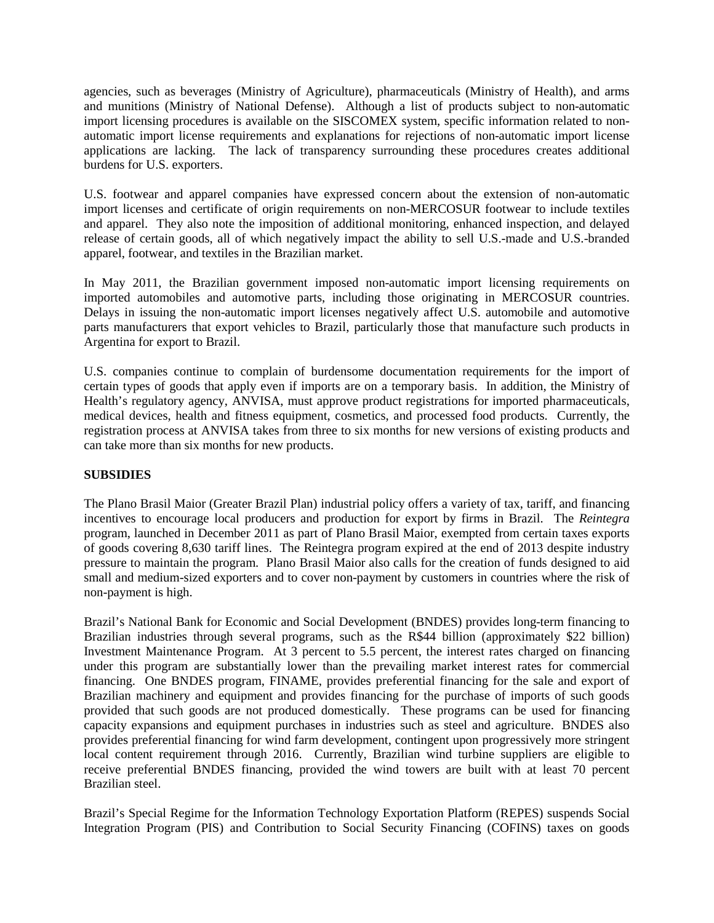agencies, such as beverages (Ministry of Agriculture), pharmaceuticals (Ministry of Health), and arms and munitions (Ministry of National Defense). Although a list of products subject to non-automatic import licensing procedures is available on the SISCOMEX system, specific information related to nonautomatic import license requirements and explanations for rejections of non-automatic import license applications are lacking. The lack of transparency surrounding these procedures creates additional burdens for U.S. exporters.

U.S. footwear and apparel companies have expressed concern about the extension of non-automatic import licenses and certificate of origin requirements on non-MERCOSUR footwear to include textiles and apparel. They also note the imposition of additional monitoring, enhanced inspection, and delayed release of certain goods, all of which negatively impact the ability to sell U.S.-made and U.S.-branded apparel, footwear, and textiles in the Brazilian market.

In May 2011, the Brazilian government imposed non-automatic import licensing requirements on imported automobiles and automotive parts, including those originating in MERCOSUR countries. Delays in issuing the non-automatic import licenses negatively affect U.S. automobile and automotive parts manufacturers that export vehicles to Brazil, particularly those that manufacture such products in Argentina for export to Brazil.

U.S. companies continue to complain of burdensome documentation requirements for the import of certain types of goods that apply even if imports are on a temporary basis. In addition, the Ministry of Health's regulatory agency, ANVISA, must approve product registrations for imported pharmaceuticals, medical devices, health and fitness equipment, cosmetics, and processed food products. Currently, the registration process at ANVISA takes from three to six months for new versions of existing products and can take more than six months for new products.

## **SUBSIDIES**

The Plano Brasil Maior (Greater Brazil Plan) industrial policy offers a variety of tax, tariff, and financing incentives to encourage local producers and production for export by firms in Brazil. The *Reintegra*  program, launched in December 2011 as part of Plano Brasil Maior, exempted from certain taxes exports of goods covering 8,630 tariff lines. The Reintegra program expired at the end of 2013 despite industry pressure to maintain the program. Plano Brasil Maior also calls for the creation of funds designed to aid small and medium-sized exporters and to cover non-payment by customers in countries where the risk of non-payment is high.

Brazil's National Bank for Economic and Social Development (BNDES) provides long-term financing to Brazilian industries through several programs, such as the R\$44 billion (approximately \$22 billion) Investment Maintenance Program. At 3 percent to 5.5 percent, the interest rates charged on financing under this program are substantially lower than the prevailing market interest rates for commercial financing. One BNDES program, FINAME, provides preferential financing for the sale and export of Brazilian machinery and equipment and provides financing for the purchase of imports of such goods provided that such goods are not produced domestically. These programs can be used for financing capacity expansions and equipment purchases in industries such as steel and agriculture. BNDES also provides preferential financing for wind farm development, contingent upon progressively more stringent local content requirement through 2016. Currently, Brazilian wind turbine suppliers are eligible to receive preferential BNDES financing, provided the wind towers are built with at least 70 percent Brazilian steel.

Brazil's Special Regime for the Information Technology Exportation Platform (REPES) suspends Social Integration Program (PIS) and Contribution to Social Security Financing (COFINS) taxes on goods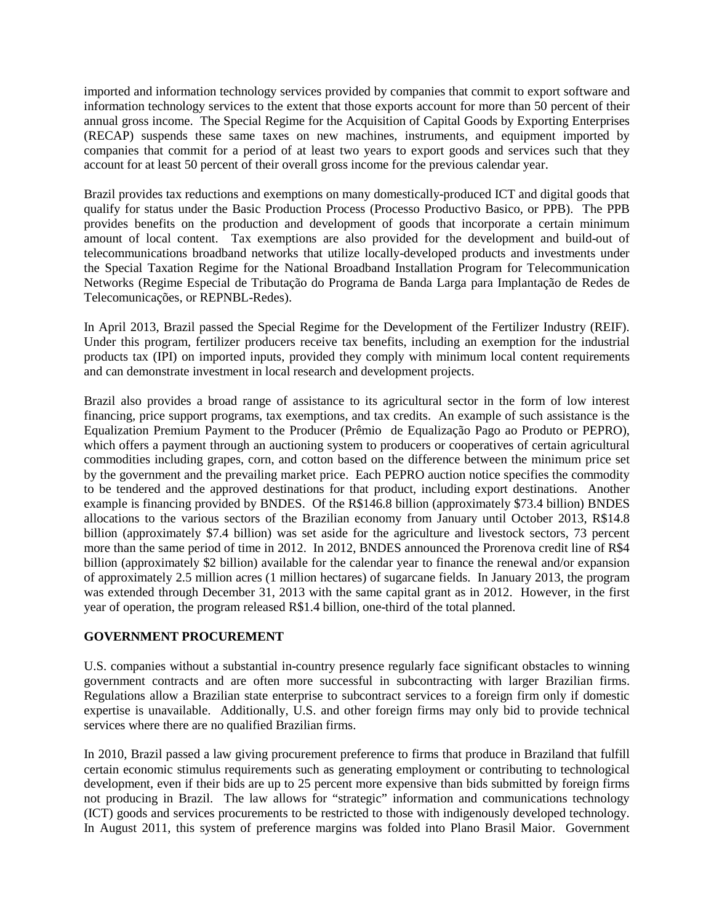imported and information technology services provided by companies that commit to export software and information technology services to the extent that those exports account for more than 50 percent of their annual gross income. The Special Regime for the Acquisition of Capital Goods by Exporting Enterprises (RECAP) suspends these same taxes on new machines, instruments, and equipment imported by companies that commit for a period of at least two years to export goods and services such that they account for at least 50 percent of their overall gross income for the previous calendar year.

Brazil provides tax reductions and exemptions on many domestically-produced ICT and digital goods that qualify for status under the Basic Production Process (Processo Productivo Basico*,* or PPB). The PPB provides benefits on the production and development of goods that incorporate a certain minimum amount of local content. Tax exemptions are also provided for the development and build-out of telecommunications broadband networks that utilize locally-developed products and investments under the Special Taxation Regime for the National Broadband Installation Program for Telecommunication Networks (Regime Especial de Tributação do Programa de Banda Larga para Implantação de Redes de Telecomunicações*,* or REPNBL-Redes).

In April 2013, Brazil passed the Special Regime for the Development of the Fertilizer Industry (REIF). Under this program, fertilizer producers receive tax benefits, including an exemption for the industrial products tax (IPI) on imported inputs, provided they comply with minimum local content requirements and can demonstrate investment in local research and development projects.

Brazil also provides a broad range of assistance to its agricultural sector in the form of low interest financing, price support programs, tax exemptions, and tax credits. An example of such assistance is the Equalization Premium Payment to the Producer (Prêmio de Equalização Pago ao Produto or PEPRO), which offers a payment through an auctioning system to producers or cooperatives of certain agricultural commodities including grapes, corn, and cotton based on the difference between the minimum price set by the government and the prevailing market price. Each PEPRO auction notice specifies the commodity to be tendered and the approved destinations for that product, including export destinations. Another example is financing provided by BNDES. Of the R\$146.8 billion (approximately \$73.4 billion) BNDES allocations to the various sectors of the Brazilian economy from January until October 2013, R\$14.8 billion (approximately \$7.4 billion) was set aside for the agriculture and livestock sectors, 73 percent more than the same period of time in 2012. In 2012, BNDES announced the Prorenova credit line of R\$4 billion (approximately \$2 billion) available for the calendar year to finance the renewal and/or expansion of approximately 2.5 million acres (1 million hectares) of sugarcane fields. In January 2013, the program was extended through December 31, 2013 with the same capital grant as in 2012. However, in the first year of operation, the program released R\$1.4 billion, one-third of the total planned.

## **GOVERNMENT PROCUREMENT**

U.S. companies without a substantial in-country presence regularly face significant obstacles to winning government contracts and are often more successful in subcontracting with larger Brazilian firms. Regulations allow a Brazilian state enterprise to subcontract services to a foreign firm only if domestic expertise is unavailable. Additionally, U.S. and other foreign firms may only bid to provide technical services where there are no qualified Brazilian firms.

In 2010, Brazil passed a law giving procurement preference to firms that produce in Braziland that fulfill certain economic stimulus requirements such as generating employment or contributing to technological development, even if their bids are up to 25 percent more expensive than bids submitted by foreign firms not producing in Brazil. The law allows for "strategic" information and communications technology (ICT) goods and services procurements to be restricted to those with indigenously developed technology. In August 2011, this system of preference margins was folded into Plano Brasil Maior. Government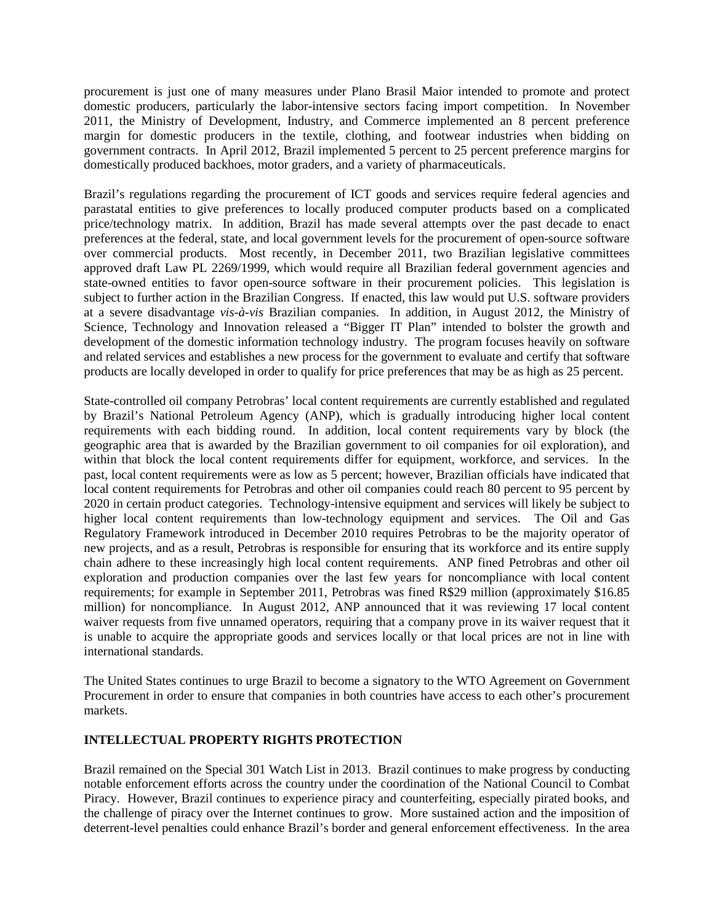procurement is just one of many measures under Plano Brasil Maior intended to promote and protect domestic producers, particularly the labor-intensive sectors facing import competition. In November 2011, the Ministry of Development, Industry, and Commerce implemented an 8 percent preference margin for domestic producers in the textile, clothing, and footwear industries when bidding on government contracts. In April 2012, Brazil implemented 5 percent to 25 percent preference margins for domestically produced backhoes, motor graders, and a variety of pharmaceuticals.

Brazil's regulations regarding the procurement of ICT goods and services require federal agencies and parastatal entities to give preferences to locally produced computer products based on a complicated price/technology matrix. In addition, Brazil has made several attempts over the past decade to enact preferences at the federal, state, and local government levels for the procurement of open-source software over commercial products. Most recently, in December 2011, two Brazilian legislative committees approved draft Law PL 2269/1999, which would require all Brazilian federal government agencies and state-owned entities to favor open-source software in their procurement policies. This legislation is subject to further action in the Brazilian Congress. If enacted, this law would put U.S. software providers at a severe disadvantage *vis-à-vis* Brazilian companies. In addition, in August 2012, the Ministry of Science, Technology and Innovation released a "Bigger IT Plan" intended to bolster the growth and development of the domestic information technology industry. The program focuses heavily on software and related services and establishes a new process for the government to evaluate and certify that software products are locally developed in order to qualify for price preferences that may be as high as 25 percent.

State-controlled oil company Petrobras' local content requirements are currently established and regulated by Brazil's National Petroleum Agency (ANP), which is gradually introducing higher local content requirements with each bidding round. In addition, local content requirements vary by block (the geographic area that is awarded by the Brazilian government to oil companies for oil exploration), and within that block the local content requirements differ for equipment, workforce, and services. In the past, local content requirements were as low as 5 percent; however, Brazilian officials have indicated that local content requirements for Petrobras and other oil companies could reach 80 percent to 95 percent by 2020 in certain product categories. Technology-intensive equipment and services will likely be subject to higher local content requirements than low-technology equipment and services. The Oil and Gas Regulatory Framework introduced in December 2010 requires Petrobras to be the majority operator of new projects, and as a result, Petrobras is responsible for ensuring that its workforce and its entire supply chain adhere to these increasingly high local content requirements. ANP fined Petrobras and other oil exploration and production companies over the last few years for noncompliance with local content requirements; for example in September 2011, Petrobras was fined R\$29 million (approximately \$16.85 million) for noncompliance. In August 2012, ANP announced that it was reviewing 17 local content waiver requests from five unnamed operators, requiring that a company prove in its waiver request that it is unable to acquire the appropriate goods and services locally or that local prices are not in line with international standards.

The United States continues to urge Brazil to become a signatory to the WTO Agreement on Government Procurement in order to ensure that companies in both countries have access to each other's procurement markets.

## **INTELLECTUAL PROPERTY RIGHTS PROTECTION**

Brazil remained on the Special 301 Watch List in 2013. Brazil continues to make progress by conducting notable enforcement efforts across the country under the coordination of the National Council to Combat Piracy. However, Brazil continues to experience piracy and counterfeiting, especially pirated books, and the challenge of piracy over the Internet continues to grow. More sustained action and the imposition of deterrent-level penalties could enhance Brazil's border and general enforcement effectiveness. In the area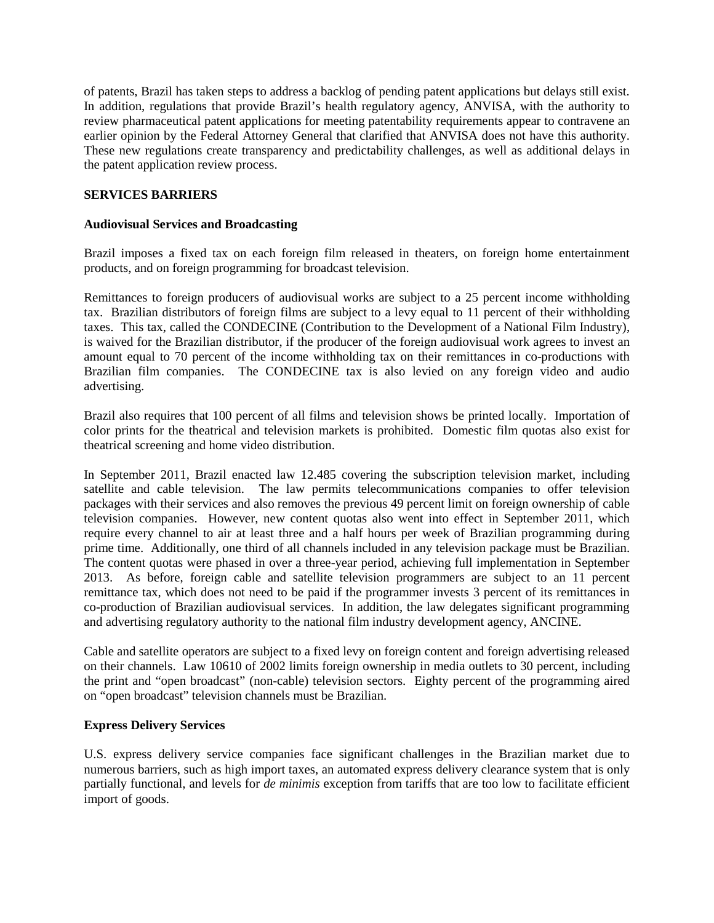of patents, Brazil has taken steps to address a backlog of pending patent applications but delays still exist. In addition, regulations that provide Brazil's health regulatory agency, ANVISA, with the authority to review pharmaceutical patent applications for meeting patentability requirements appear to contravene an earlier opinion by the Federal Attorney General that clarified that ANVISA does not have this authority. These new regulations create transparency and predictability challenges, as well as additional delays in the patent application review process.

## **SERVICES BARRIERS**

## **Audiovisual Services and Broadcasting**

Brazil imposes a fixed tax on each foreign film released in theaters, on foreign home entertainment products, and on foreign programming for broadcast television.

Remittances to foreign producers of audiovisual works are subject to a 25 percent income withholding tax. Brazilian distributors of foreign films are subject to a levy equal to 11 percent of their withholding taxes. This tax, called the CONDECINE (Contribution to the Development of a National Film Industry), is waived for the Brazilian distributor, if the producer of the foreign audiovisual work agrees to invest an amount equal to 70 percent of the income withholding tax on their remittances in co-productions with Brazilian film companies. The CONDECINE tax is also levied on any foreign video and audio advertising.

Brazil also requires that 100 percent of all films and television shows be printed locally. Importation of color prints for the theatrical and television markets is prohibited. Domestic film quotas also exist for theatrical screening and home video distribution.

In September 2011, Brazil enacted law 12.485 covering the subscription television market, including satellite and cable television. The law permits telecommunications companies to offer television packages with their services and also removes the previous 49 percent limit on foreign ownership of cable television companies. However, new content quotas also went into effect in September 2011, which require every channel to air at least three and a half hours per week of Brazilian programming during prime time. Additionally, one third of all channels included in any television package must be Brazilian. The content quotas were phased in over a three-year period, achieving full implementation in September 2013. As before, foreign cable and satellite television programmers are subject to an 11 percent remittance tax, which does not need to be paid if the programmer invests 3 percent of its remittances in co-production of Brazilian audiovisual services. In addition, the law delegates significant programming and advertising regulatory authority to the national film industry development agency, ANCINE.

Cable and satellite operators are subject to a fixed levy on foreign content and foreign advertising released on their channels. Law 10610 of 2002 limits foreign ownership in media outlets to 30 percent, including the print and "open broadcast" (non-cable) television sectors. Eighty percent of the programming aired on "open broadcast" television channels must be Brazilian.

## **Express Delivery Services**

U.S. express delivery service companies face significant challenges in the Brazilian market due to numerous barriers, such as high import taxes, an automated express delivery clearance system that is only partially functional, and levels for *de minimis* exception from tariffs that are too low to facilitate efficient import of goods.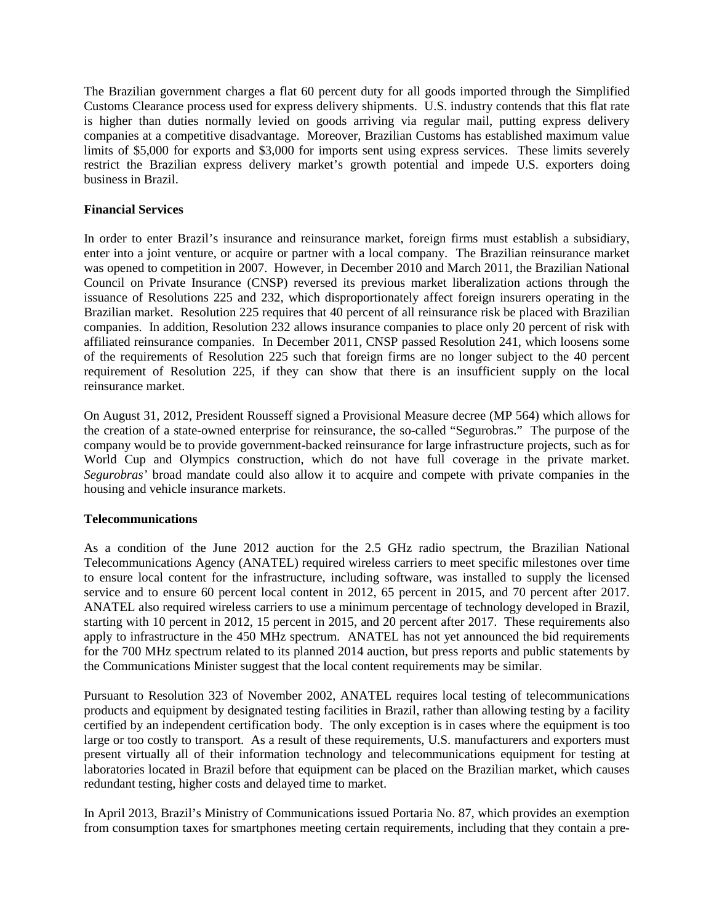The Brazilian government charges a flat 60 percent duty for all goods imported through the Simplified Customs Clearance process used for express delivery shipments. U.S. industry contends that this flat rate is higher than duties normally levied on goods arriving via regular mail, putting express delivery companies at a competitive disadvantage. Moreover, Brazilian Customs has established maximum value limits of \$5,000 for exports and \$3,000 for imports sent using express services. These limits severely restrict the Brazilian express delivery market's growth potential and impede U.S. exporters doing business in Brazil.

## **Financial Services**

In order to enter Brazil's insurance and reinsurance market, foreign firms must establish a subsidiary, enter into a joint venture, or acquire or partner with a local company. The Brazilian reinsurance market was opened to competition in 2007. However, in December 2010 and March 2011, the Brazilian National Council on Private Insurance (CNSP) reversed its previous market liberalization actions through the issuance of Resolutions 225 and 232, which disproportionately affect foreign insurers operating in the Brazilian market. Resolution 225 requires that 40 percent of all reinsurance risk be placed with Brazilian companies. In addition, Resolution 232 allows insurance companies to place only 20 percent of risk with affiliated reinsurance companies. In December 2011, CNSP passed Resolution 241, which loosens some of the requirements of Resolution 225 such that foreign firms are no longer subject to the 40 percent requirement of Resolution 225, if they can show that there is an insufficient supply on the local reinsurance market.

On August 31, 2012, President Rousseff signed a Provisional Measure decree (MP 564) which allows for the creation of a state-owned enterprise for reinsurance, the so-called "Segurobras." The purpose of the company would be to provide government-backed reinsurance for large infrastructure projects, such as for World Cup and Olympics construction, which do not have full coverage in the private market. *Segurobras'* broad mandate could also allow it to acquire and compete with private companies in the housing and vehicle insurance markets.

## **Telecommunications**

As a condition of the June 2012 auction for the 2.5 GHz radio spectrum, the Brazilian National Telecommunications Agency (ANATEL) required wireless carriers to meet specific milestones over time to ensure local content for the infrastructure, including software, was installed to supply the licensed service and to ensure 60 percent local content in 2012, 65 percent in 2015, and 70 percent after 2017. ANATEL also required wireless carriers to use a minimum percentage of technology developed in Brazil, starting with 10 percent in 2012, 15 percent in 2015, and 20 percent after 2017. These requirements also apply to infrastructure in the 450 MHz spectrum. ANATEL has not yet announced the bid requirements for the 700 MHz spectrum related to its planned 2014 auction, but press reports and public statements by the Communications Minister suggest that the local content requirements may be similar.

Pursuant to Resolution 323 of November 2002, ANATEL requires local testing of telecommunications products and equipment by designated testing facilities in Brazil, rather than allowing testing by a facility certified by an independent certification body. The only exception is in cases where the equipment is too large or too costly to transport. As a result of these requirements, U.S. manufacturers and exporters must present virtually all of their information technology and telecommunications equipment for testing at laboratories located in Brazil before that equipment can be placed on the Brazilian market, which causes redundant testing, higher costs and delayed time to market.

In April 2013, Brazil's Ministry of Communications issued Portaria No. 87, which provides an exemption from consumption taxes for smartphones meeting certain requirements, including that they contain a pre